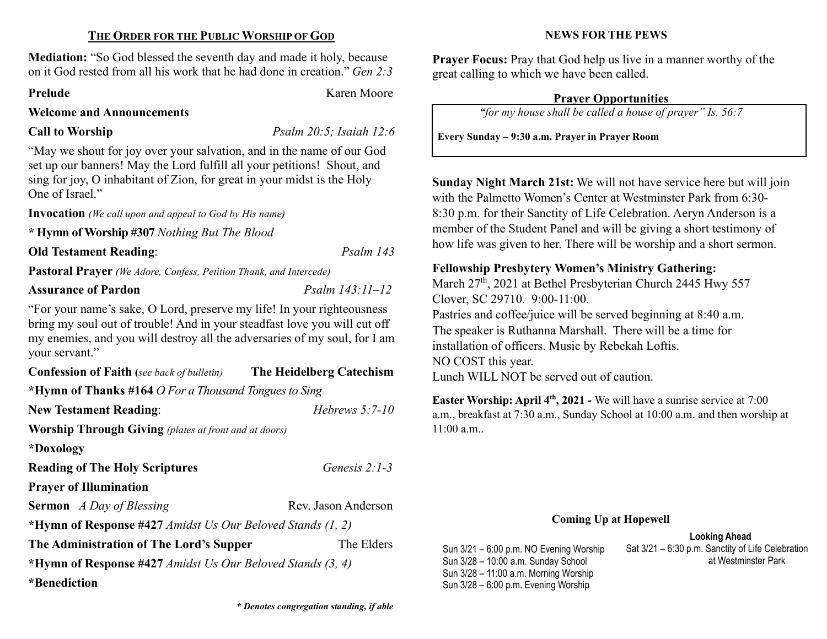#### THE ORDER FOR THE PUBLIC WORSHIP OF GOD

Mediation: "So God blessed the seventh day and made it holy, because on it God rested from all his work that he had done in creation." Gen 2:3

#### Prelude Karen Moore

#### Welcome and Announcements

Call to Worship Psalm 20:5; Isaiah 12:6

"May we shout for joy over your salvation, and in the name of our God set up our banners! May the Lord fulfill all your petitions! Shout, and sing for joy, O inhabitant of Zion, for great in your midst is the Holy One of Israel."

Invocation (We call upon and appeal to God by His name)

\* Hymn of Worship #307 Nothing But The Blood

### Old Testament Reading: Psalm 143

Pastoral Prayer (We Adore, Confess, Petition Thank, and Intercede)

## Assurance of Pardon Psalm 143:11–12

"For your name's sake, O Lord, preserve my life! In your righteousness bring my soul out of trouble! And in your steadfast love you will cut off my enemies, and you will destroy all the adversaries of my soul, for I am your servant."

| <b>Confession of Faith</b> (see back of bulletin)            | The Heidelberg Catechism |  |  |  |
|--------------------------------------------------------------|--------------------------|--|--|--|
| *Hymn of Thanks #164 O For a Thousand Tongues to Sing        |                          |  |  |  |
| <b>New Testament Reading:</b>                                | Hebrews $5:7-10$         |  |  |  |
| <b>Worship Through Giving</b> (plates at front and at doors) |                          |  |  |  |
| *Doxology                                                    |                          |  |  |  |
| <b>Reading of The Holy Scriptures</b>                        | Genesis $2:1-3$          |  |  |  |
| <b>Prayer of Illumination</b>                                |                          |  |  |  |
| <b>Sermon</b> A Day of Blessing                              | Rev. Jason Anderson      |  |  |  |
| *Hymn of Response #427 Amidst Us Our Beloved Stands (1, 2)   |                          |  |  |  |
| The Administration of The Lord's Supper                      | The Elders               |  |  |  |
| *Hymn of Response #427 Amidst Us Our Beloved Stands (3, 4)   |                          |  |  |  |
| <i>*</i> Benediction                                         |                          |  |  |  |

Prayer Focus: Pray that God help us live in a manner worthy of the great calling to which we have been called.

NEWS FOR THE PEWS

#### Prayer Opportunities

"for my house shall be called a house of prayer" Is. 56:7

Every Sunday – 9:30 a.m. Prayer in Prayer Room

Sunday Night March 21st: We will not have service here but will join with the Palmetto Women's Center at Westminster Park from 6:30- 8:30 p.m. for their Sanctity of Life Celebration. Aeryn Anderson is a member of the Student Panel and will be giving a short testimony of how life was given to her. There will be worship and a short sermon.

# Fellowship Presbytery Women's Ministry Gathering:

March 27<sup>th</sup>, 2021 at Bethel Presbyterian Church 2445 Hwy 557 Clover, SC 29710. 9:00-11:00. Pastries and coffee/juice will be served beginning at 8:40 a.m. The speaker is Ruthanna Marshall. There will be a time for installation of officers. Music by Rebekah Loftis. NO COST this year. Lunch WILL NOT be served out of caution.

Easter Worship: April  $4<sup>th</sup>$ , 2021 - We will have a sunrise service at 7:00 a.m., breakfast at 7:30 a.m., Sunday School at 10:00 a.m. and then worship at  $11:00$  a.m..

#### Coming Up at Hopewell

Looking Ahead

Sun 3/21 – 6:00 p.m. NO Evening Worship Sun 3/28 – 10:00 a.m. Sunday School Sun 3/28 – 11:00 a.m. Morning Worship Sun 3/28 – 6:00 p.m. Evening Worship

Sat 3/21 – 6:30 p.m. Sanctity of Life Celebration at Westminster Park